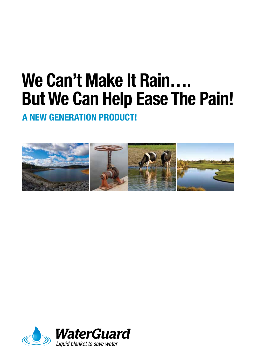# **We Can't Make It Rain…. But We Can Help Ease The Pain!**

**A NEW GENERATION PRODUCT!**